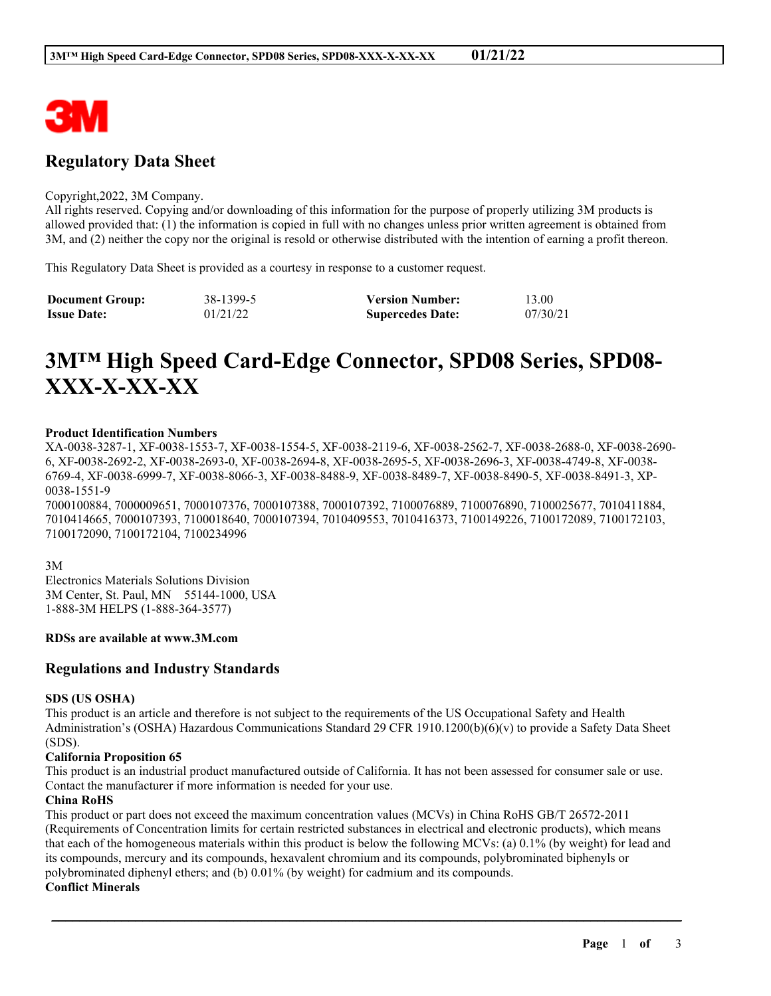

# **Regulatory Data Sheet**

#### Copyright,2022, 3M Company.

All rights reserved. Copying and/or downloading of this information for the purpose of properly utilizing 3M products is allowed provided that: (1) the information is copied in full with no changes unless prior written agreement is obtained from 3M, and (2) neither the copy nor the original is resold or otherwise distributed with the intention of earning a profit thereon.

This Regulatory Data Sheet is provided as a courtesy in response to a customer request.

| <b>Document Group:</b> | 38-1399-5 | <b>Version Number:</b>  | 13.00    |
|------------------------|-----------|-------------------------|----------|
| <b>Issue Date:</b>     | 01/21/22  | <b>Supercedes Date:</b> | 07/30/21 |

# **3M™ High Speed Card-Edge Connector, SPD08 Series, SPD08- XXX-X-XX-XX**

# **Product Identification Numbers**

XA-0038-3287-1, XF-0038-1553-7, XF-0038-1554-5, XF-0038-2119-6, XF-0038-2562-7, XF-0038-2688-0, XF-0038-2690- 6, XF-0038-2692-2, XF-0038-2693-0, XF-0038-2694-8, XF-0038-2695-5, XF-0038-2696-3, XF-0038-4749-8, XF-0038- 6769-4, XF-0038-6999-7, XF-0038-8066-3, XF-0038-8488-9, XF-0038-8489-7, XF-0038-8490-5, XF-0038-8491-3, XP-0038-1551-9

7000100884, 7000009651, 7000107376, 7000107388, 7000107392, 7100076889, 7100076890, 7100025677, 7010411884, 7010414665, 7000107393, 7100018640, 7000107394, 7010409553, 7010416373, 7100149226, 7100172089, 7100172103, 7100172090, 7100172104, 7100234996

3M

Electronics Materials Solutions Division 3M Center, St. Paul, MN 55144-1000, USA 1-888-3M HELPS (1-888-364-3577)

# **RDSs are available at www.3M.com**

# **Regulations and Industry Standards**

# **SDS (US OSHA)**

This product is an article and therefore is not subject to the requirements of the US Occupational Safety and Health Administration's (OSHA) Hazardous Communications Standard 29 CFR 1910.1200(b)(6)(v) to provide a Safety Data Sheet (SDS).

# **California Proposition 65**

This product is an industrial product manufactured outside of California. It has not been assessed for consumer sale or use. Contact the manufacturer if more information is needed for your use.

# **China RoHS**

This product or part does not exceed the maximum concentration values (MCVs) in China RoHS GB/T 26572-2011 (Requirements of Concentration limits for certain restricted substances in electrical and electronic products), which means that each of the homogeneous materials within this product is below the following MCVs: (a) 0.1% (by weight) for lead and its compounds, mercury and its compounds, hexavalent chromium and its compounds, polybrominated biphenyls or polybrominated diphenyl ethers; and (b) 0.01% (by weight) for cadmium and its compounds.

\_\_\_\_\_\_\_\_\_\_\_\_\_\_\_\_\_\_\_\_\_\_\_\_\_\_\_\_\_\_\_\_\_\_\_\_\_\_\_\_\_\_\_\_\_\_\_\_\_\_\_\_\_\_\_\_\_\_\_\_\_\_\_\_\_\_\_\_\_\_\_\_\_\_\_\_\_\_\_\_\_\_\_\_\_\_\_\_\_\_

# **Conflict Minerals**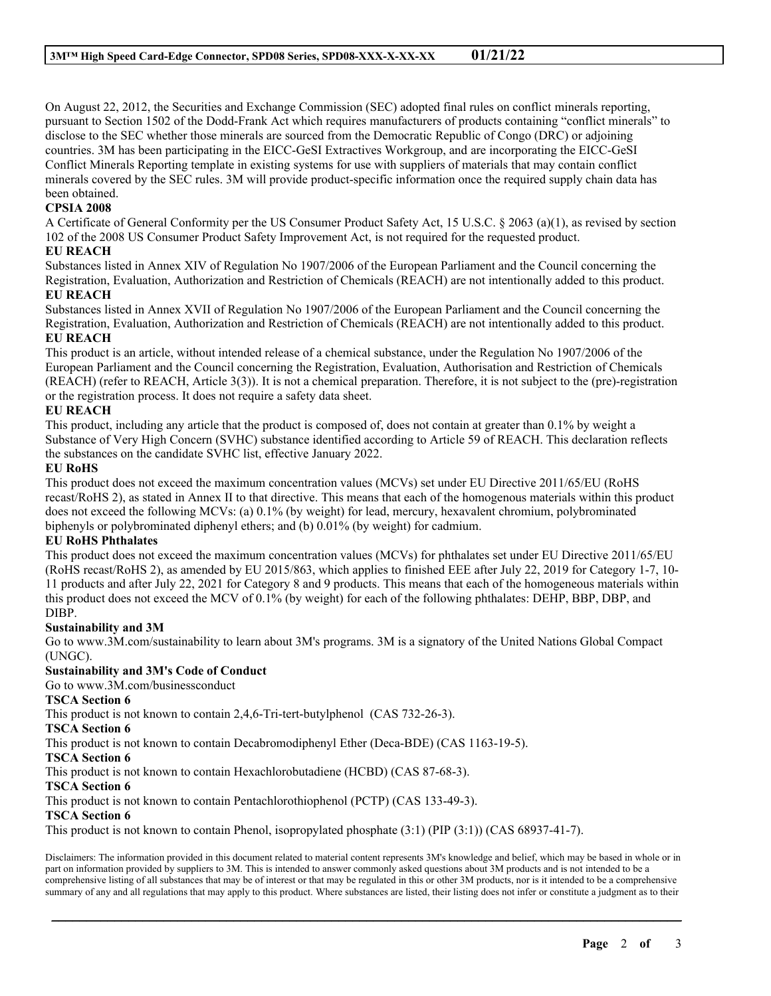On August 22, 2012, the Securities and Exchange Commission (SEC) adopted final rules on conflict minerals reporting, pursuant to Section 1502 of the Dodd-Frank Act which requires manufacturers of products containing "conflict minerals" to disclose to the SEC whether those minerals are sourced from the Democratic Republic of Congo (DRC) or adjoining countries. 3M has been participating in the EICC-GeSI Extractives Workgroup, and are incorporating the EICC-GeSI Conflict Minerals Reporting template in existing systems for use with suppliers of materials that may contain conflict minerals covered by the SEC rules. 3M will provide product-specific information once the required supply chain data has been obtained.

# **CPSIA 2008**

A Certificate of General Conformity per the US Consumer Product Safety Act, 15 U.S.C. § 2063 (a)(1), as revised by section 102 of the 2008 US Consumer Product Safety Improvement Act, is not required for the requested product.

# **EU REACH**

Substances listed in Annex XIV of Regulation No 1907/2006 of the European Parliament and the Council concerning the Registration, Evaluation, Authorization and Restriction of Chemicals (REACH) are not intentionally added to this product. **EU REACH**

Substances listed in Annex XVII of Regulation No 1907/2006 of the European Parliament and the Council concerning the Registration, Evaluation, Authorization and Restriction of Chemicals (REACH) are not intentionally added to this product. **EU REACH**

This product is an article, without intended release of a chemical substance, under the Regulation No 1907/2006 of the European Parliament and the Council concerning the Registration, Evaluation, Authorisation and Restriction of Chemicals (REACH) (refer to REACH, Article 3(3)). It is not a chemical preparation. Therefore, it is not subject to the (pre)-registration or the registration process. It does not require a safety data sheet.

# **EU REACH**

This product, including any article that the product is composed of, does not contain at greater than 0.1% by weight a Substance of Very High Concern (SVHC) substance identified according to Article 59 of REACH. This declaration reflects the substances on the candidate SVHC list, effective January 2022.

# **EU RoHS**

This product does not exceed the maximum concentration values (MCVs) set under EU Directive 2011/65/EU (RoHS recast/RoHS 2), as stated in Annex II to that directive. This means that each of the homogenous materials within this product does not exceed the following MCVs: (a) 0.1% (by weight) for lead, mercury, hexavalent chromium, polybrominated biphenyls or polybrominated diphenyl ethers; and (b) 0.01% (by weight) for cadmium.

# **EU RoHS Phthalates**

This product does not exceed the maximum concentration values (MCVs) for phthalates set under EU Directive 2011/65/EU (RoHS recast/RoHS 2), as amended by EU 2015/863, which applies to finished EEE after July 22, 2019 for Category 1-7, 10- 11 products and after July 22, 2021 for Category 8 and 9 products. This means that each of the homogeneous materials within this product does not exceed the MCV of 0.1% (by weight) for each of the following phthalates: DEHP, BBP, DBP, and DIBP.

# **Sustainability and 3M**

Go to www.3M.com/sustainability to learn about 3M's programs. 3M is a signatory of the United Nations Global Compact (UNGC).

# **Sustainability and 3M's Code of Conduct**

Go to www.3M.com/businessconduct

# **TSCA Section 6**

This product is not known to contain 2,4,6-Tri-tert-butylphenol (CAS 732-26-3).

# **TSCA Section 6**

This product is not known to contain Decabromodiphenyl Ether (Deca-BDE) (CAS 1163-19-5).

# **TSCA Section 6**

This product is not known to contain Hexachlorobutadiene (HCBD) (CAS 87-68-3).

# **TSCA Section 6**

This product is not known to contain Pentachlorothiophenol (PCTP) (CAS 133-49-3).

#### **TSCA Section 6**

This product is not known to contain Phenol, isopropylated phosphate (3:1) (PIP (3:1)) (CAS 68937-41-7).

Disclaimers: The information provided in this document related to material content represents 3M's knowledge and belief, which may be based in whole or in part on information provided by suppliers to 3M. This is intended to answer commonly asked questions about 3M products and is not intended to be a comprehensive listing of all substances that may be of interest or that may be regulated in this or other 3M products, nor is it intended to be a comprehensive summary of any and all regulations that may apply to this product. Where substances are listed, their listing does not infer or constitute a judgment as to their

\_\_\_\_\_\_\_\_\_\_\_\_\_\_\_\_\_\_\_\_\_\_\_\_\_\_\_\_\_\_\_\_\_\_\_\_\_\_\_\_\_\_\_\_\_\_\_\_\_\_\_\_\_\_\_\_\_\_\_\_\_\_\_\_\_\_\_\_\_\_\_\_\_\_\_\_\_\_\_\_\_\_\_\_\_\_\_\_\_\_